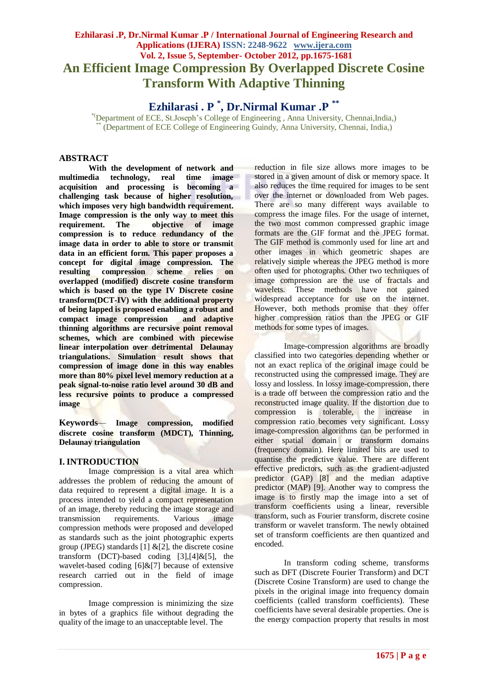# **Ezhilarasi .P, Dr.Nirmal Kumar .P / International Journal of Engineering Research and Applications (IJERA) ISSN: 2248-9622 www.ijera.com Vol. 2, Issue 5, September- October 2012, pp.1675-1681 An Efficient Image Compression By Overlapped Discrete Cosine Transform With Adaptive Thinning**

**Ezhilarasi . P \* , Dr.Nirmal Kumar .P \*\***

\*(Department of ECE, St.Joseph's College of Engineering , Anna University, Chennai,India,) (Department of ECE College of Engineering Guindy, Anna University, Chennai, India,)

# **ABSTRACT**

**With the development of network and multimedia technology, real time image acquisition and processing is becoming a challenging task because of higher resolution, which imposes very high bandwidth requirement. Image compression is the only way to meet this requirement. The objective of image compression is to reduce redundancy of the image data in order to able to store or transmit data in an efficient form. This paper proposes a concept for digital image compression. The resulting compression scheme relies on overlapped (modified) discrete cosine transform which is based on the type IV Discrete cosine transform(DCT-IV) with the additional property of being lapped is proposed enabling a robust and compact image compression and adaptive thinning algorithms are recursive point removal schemes, which are combined with piecewise linear interpolation over detrimental Delaunay triangulations. Simulation result shows that compression of image done in this way enables more than 80% pixel level memory reduction at a peak signal-to-noise ratio level around 30 dB and less recursive points to produce a compressed image** 

**Keywords***—* **Image compression, modified discrete cosine transform (MDCT), Thinning, Delaunay triangulation**

# **I. INTRODUCTION**

Image compression is a vital area which addresses the problem of reducing the amount of data required to represent a digital image. It is a process intended to yield a compact representation of an image, thereby reducing the image storage and transmission requirements. Various image compression methods were proposed and developed as standards such as the joint photographic experts group (JPEG) standards [1]  $\&$ [2], the discrete cosine transform (DCT)-based coding  $[3]$ , $[4]$ & $[5]$ , the wavelet-based coding [6]&[7] because of extensive research carried out in the field of image compression.

Image compression is minimizing the size in bytes of a graphics file without degrading the quality of the image to an unacceptable level. The

reduction in file size allows more images to be stored in a given amount of disk or memory space. It also reduces the time required for images to be sent over the internet or downloaded from Web pages. There are so many different ways available to compress the image files. For the usage of internet, the two most common compressed graphic image formats are the GIF format and the JPEG format. The GIF method is commonly used for line art and other images in which geometric shapes are relatively simple whereas the JPEG method is more often used for photographs. Other two techniques of image compression are the use of fractals and wavelets. These methods have not gained widespread acceptance for use on the internet. However, both methods promise that they offer higher compression ratios than the JPEG or GIF methods for some types of images.

Image-compression algorithms are broadly classified into two categories depending whether or not an exact replica of the original image could be reconstructed using the compressed image. They are lossy and lossless. In lossy image-compression, there is a trade off between the compression ratio and the reconstructed image quality. If the distortion due to compression is tolerable, the increase in compression ratio becomes very significant. Lossy image-compression algorithms can be performed in either spatial domain or transform domains (frequency domain). Here limited bits are used to quantise the predictive value. There are different effective predictors, such as the gradient-adjusted predictor (GAP) [8] and the median adaptive predictor (MAP) [9]. Another way to compress the image is to firstly map the image into a set of transform coefficients using a linear, reversible transform, such as Fourier transform, discrete cosine transform or wavelet transform. The newly obtained set of transform coefficients are then quantized and encoded.

In transform coding scheme, transforms such as DFT (Discrete Fourier Transform) and DCT (Discrete Cosine Transform) are used to change the pixels in the original image into frequency domain coefficients (called transform coefficients). These coefficients have several desirable properties. One is the energy compaction property that results in most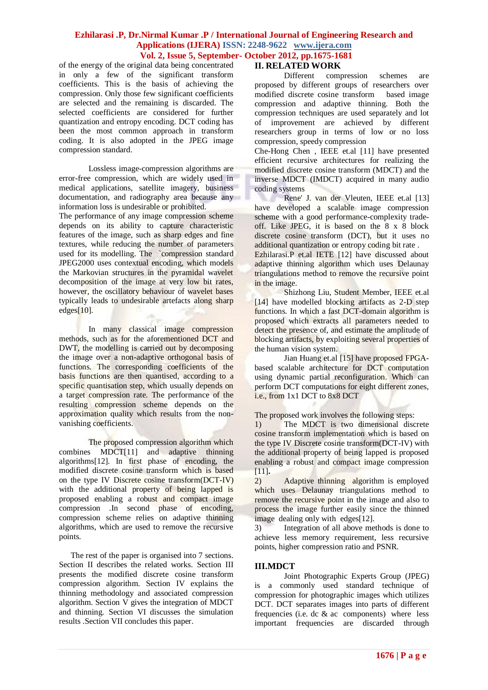of the energy of the original data being concentrated in only a few of the significant transform coefficients. This is the basis of achieving the compression. Only those few significant coefficients are selected and the remaining is discarded. The selected coefficients are considered for further quantization and entropy encoding. DCT coding has been the most common approach in transform coding. It is also adopted in the JPEG image compression standard.

Lossless image-compression algorithms are error-free compression, which are widely used in medical applications, satellite imagery, business documentation, and radiography area because any information loss is undesirable or prohibited.

The performance of any image compression scheme depends on its ability to capture characteristic features of the image, such as sharp edges and fine textures, while reducing the number of parameters used for its modelling. The `compression standard JPEG2000 uses contextual encoding, which models the Markovian structures in the pyramidal wavelet decomposition of the image at very low bit rates, however, the oscillatory behaviour of wavelet bases typically leads to undesirable artefacts along sharp edges[10].

In many classical image compression methods, such as for the aforementioned DCT and DWT, the modelling is carried out by decomposing the image over a non-adaptive orthogonal basis of functions. The corresponding coefficients of the basis functions are then quantised, according to a specific quantisation step, which usually depends on a target compression rate. The performance of the resulting compression scheme depends on the approximation quality which results from the nonvanishing coefficients.

The proposed compression algorithm which combines MDCT[11] and adaptive thinning algorithms[12]. In first phase of encoding, the modified discrete cosine transform which is based on the type IV Discrete cosine transform(DCT-IV) with the additional property of being lapped is proposed enabling a robust and compact image compression .In second phase of encoding, compression scheme relies on adaptive thinning algorithms, which are used to remove the recursive points.

The rest of the paper is organised into 7 sections. Section II describes the related works. Section III presents the modified discrete cosine transform compression algorithm. Section IV explains the thinning methodology and associated compression algorithm. Section V gives the integration of MDCT and thinning. Section VI discusses the simulation results .Section VII concludes this paper.

#### **II. RELATED WORK**

Different compression schemes are proposed by different groups of researchers over modified discrete cosine transform based image compression and adaptive thinning. Both the compression techniques are used separately and lot of improvement are achieved by different researchers group in terms of low or no loss compression, speedy compression

Che-Hong Chen , IEEE et.al [11] have presented efficient recursive architectures for realizing the modified discrete cosine transform (MDCT) and the inverse MDCT (IMDCT) acquired in many audio coding systems

Rene' J. van der Vleuten, IEEE et.al [13] have developed a scalable image compression scheme with a good performance-complexity tradeoff. Like JPEG, it is based on the 8 x 8 block discrete cosine transform (DCT), but it uses no additional quantization or entropy coding bit rate .

Ezhilarasi.P et.al IETE [12] have discussed about adaptive thinning algorithm which uses Delaunay triangulations method to remove the recursive point in the image.

Shizhong Liu, Student Member, IEEE et.al [14] have modelled blocking artifacts as 2-D step functions. In which a fast DCT-domain algorithm is proposed which extracts all parameters needed to detect the presence of, and estimate the amplitude of blocking artifacts, by exploiting several properties of the human vision system.

Jian Huang et.al [15] have proposed FPGAbased scalable architecture for DCT computation using dynamic partial reconfiguration. Which can perform DCT computations for eight different zones, i.e., from 1x1 DCT to 8x8 DCT

The proposed work involves the following steps:

1) The MDCT is two dimensional discrete cosine transform implementation which is based on the type IV Discrete cosine transform(DCT-IV) with the additional property of being lapped is proposed enabling a robust and compact image compression [11].

2) Adaptive thinning algorithm is employed which uses Delaunay triangulations method to remove the recursive point in the image and also to process the image further easily since the thinned image dealing only with edges[12].

3) Integration of all above methods is done to achieve less memory requirement, less recursive points, higher compression ratio and PSNR.

#### **III.MDCT**

Joint Photographic Experts Group (JPEG) is a commonly used standard technique of compression for photographic images which utilizes DCT. DCT separates images into parts of different frequencies (i.e. dc & ac components) where less important frequencies are discarded through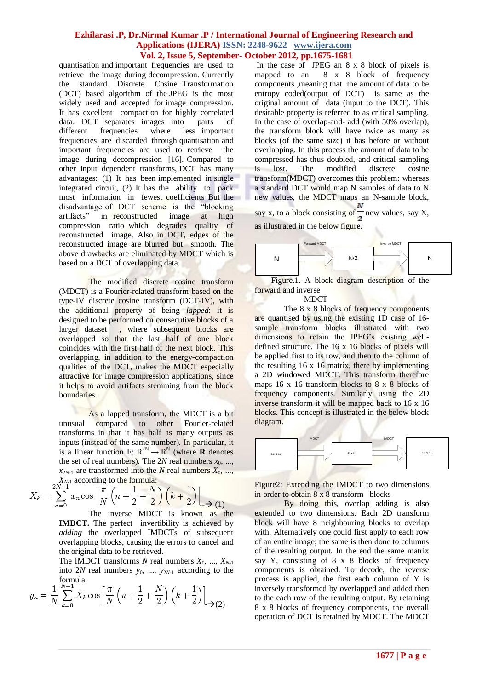quantisation and important frequencies are used to retrieve the image during decompression. Currently the standard Discrete Cosine Transformation (DCT) based algorithm of the JPEG is the most widely used and accepted for image compression. It has excellent compaction for highly correlated data. DCT separates images into parts of different frequencies where less important frequencies are discarded through quantisation and important frequencies are used to retrieve the image during decompression [16]. Compared to other input dependent transforms, DCT has many advantages: (1) It has been implemented in single integrated circuit, (2) It has the ability to pack most information in fewest coefficients But the disadvantage of DCT scheme is the "blocking artifacts" in reconstructed image at high compression ratio which degrades quality of reconstructed image. Also in DCT, edges of the reconstructed image are blurred but smooth. The above drawbacks are eliminated by MDCT which is based on a DCT of overlapping data.

The modified discrete cosine transform (MDCT) is a [Fourier-related transform](http://en.wikipedia.org/wiki/List_of_Fourier-related_transforms) based on the type-IV [discrete cosine transform](http://en.wikipedia.org/wiki/Discrete_cosine_transform) (DCT-IV), with the additional property of being *lapped*: it is designed to be performed on consecutive blocks of a larger [dataset](http://en.wikipedia.org/wiki/Dataset) , where subsequent blocks are overlapped so that the last half of one block coincides with the first half of the next block. This overlapping, in addition to the energy-compaction qualities of the DCT, makes the MDCT especially attractive for image compression applications, since it helps to avoid [artifacts](http://en.wikipedia.org/wiki/Compression_artifact) stemming from the block boundaries.

As a lapped transform, the MDCT is a bit unusual compared to other Fourier-related transforms in that it has half as many outputs as inputs (instead of the same number). In particular, it is a [linear function](http://en.wikipedia.org/wiki/Linear_function) F:  $R^{2N} \to R^N$  (where **R** denotes the set of [real numbers\)](http://en.wikipedia.org/wiki/Real_number). The  $2N$  real numbers  $x_0$ , ...,  $x_{2N-1}$  are transformed into the *N* real numbers  $X_0$ , ..., *XN*-1 according to the formula:

$$
X_k = \sum_{n=0}^{2N-1} x_n \cos \left[ \frac{\pi}{N} \left( n + \frac{1}{2} + \frac{N}{2} \right) \left( k + \frac{1}{2} \right) \right] \longrightarrow (1)
$$

The inverse MDCT is known as the **IMDCT.** The perfect invertibility is achieved by *adding* the overlapped IMDCTs of subsequent overlapping blocks, causing the errors to cancel and the original data to be retrieved.

The IMDCT transforms *N* real numbers  $X_0$ , ...,  $X_{N-1}$ into 2*N* real numbers *y*0, ..., *y*2*N*-1 according to the formula:

$$
y_n = \frac{1}{N} \sum_{k=0}^{N-1} X_k \cos \left[ \frac{\pi}{N} \left( n + \frac{1}{2} + \frac{N}{2} \right) \left( k + \frac{1}{2} \right) \right]_{\to (2)}
$$

In the case of JPEG an 8 x 8 block of pixels is mapped to an 8 x 8 block of frequency components ,meaning that the amount of data to be entropy coded(output of DCT) is same as the original amount of data (input to the DCT). This desirable property is referred to as critical sampling. In the case of overlap-and- add (with 50% overlap), the transform block will have twice as many as blocks (of the same size) it has before or without overlapping. In this process the amount of data to be compressed has thus doubled, and critical sampling is lost. The modified discrete cosine transform(MDCT) overcomes this problem: whereas a standard DCT would map N samples of data to N new values, the MDCT maps an N-sample block,

say x, to a block consisting of  $\frac{1}{2}$  new values, say X, as illustrated in the below figure.



Figure.1. A block diagram description of the forward and inverse

**MDCT** 

The 8 x 8 blocks of frequency components are quantised by using the existing 1D case of 16 sample transform blocks illustrated with two dimensions to retain the JPEG's existing welldefined structure. The 16 x 16 blocks of pixels will be applied first to its row, and then to the column of the resulting 16 x 16 matrix, there by implementing a 2D windowed MDCT. This transform therefore maps 16 x 16 transform blocks to 8 x 8 blocks of frequency components. Similarly using the 2D inverse transform it will be mapped back to 16 x 16 blocks. This concept is illustrated in the below block diagram.



Figure2: Extending the IMDCT to two dimensions in order to obtain 8 x 8 transform blocks

By doing this, overlap adding is also extended to two dimensions. Each 2D transform block will have 8 neighbouring blocks to overlap with. Alternatively one could first apply to each row of an entire image; the same is then done to columns of the resulting output. In the end the same matrix say Y, consisting of 8 x 8 blocks of frequency components is obtained. To decode, the reverse process is applied, the first each column of Y is inversely transformed by overlapped and added then to the each row of the resulting output. By retaining 8 x 8 blocks of frequency components, the overall operation of DCT is retained by MDCT. The MDCT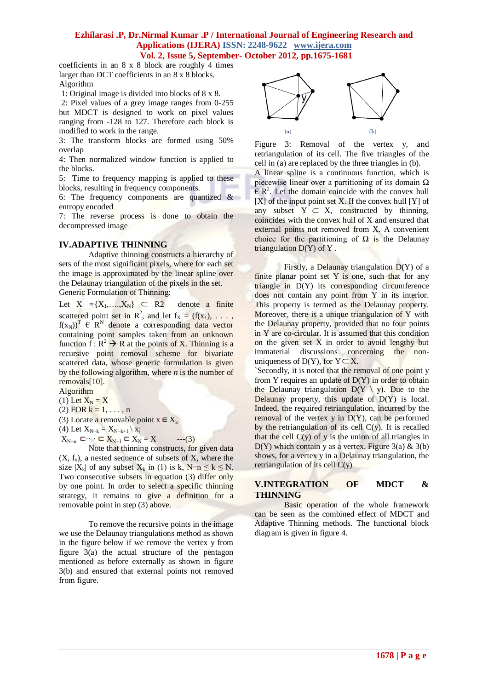coefficients in an 8 x 8 block are roughly 4 times larger than DCT coefficients in an 8 x 8 blocks. Algorithm

1: Original image is divided into blocks of 8 x 8.

2: Pixel values of a grey image ranges from 0-255 but MDCT is designed to work on pixel values ranging from -128 to 127. Therefore each block is modified to work in the range.

3: The transform blocks are formed using 50% overlap

4: Then normalized window function is applied to the blocks.

5: Time to frequency mapping is applied to these blocks, resulting in frequency components.

6: The frequency components are quantized & entropy encoded

7: The reverse process is done to obtain the decompressed image

# **IV.ADAPTIVE THINNING**

Adaptive thinning constructs a hierarchy of sets of the most significant pixels, where for each set the image is approximated by the linear spline over the Delaunay triangulation of the pixels in the set. Generic Formulation of Thinning:

Let  $X = {X_1, \ldots, X_N}$   $\subset$ denote a finite scattered point set in  $\mathbb{R}^2$ , and let  $f_X = (f(x_1), \ldots, f(x_n))$  $f(x_N)$ <sup>T</sup>  $\in$  R<sup>N</sup> denote a corresponding data vector containing point samples taken from an unknown function  $f: R^2 \to R$  at the points of X. Thinning is a recursive point removal scheme for bivariate scattered data, whose generic formulation is given by the following algorithm, where *n* is the number of removals[10].

Algorithm

(1) Let  $X_N = X$ 

(2) FOR  $k = 1, ..., n$ 

(3) Locate a removable point  $x \in X_k$ 

(4) Let  $X_{N-k} = X_{N-k+1} \setminus x;$ 

 $X_{N-n} \subset \cdots \subset X_{N-1} \subset X_N = X$  ---(3)

Note that thinning constructs, for given data  $(X, f_x)$ , a nested sequence of subsets of X, where the size  $|X_k|$  of any subset  $X_k$  in (1) is k, N–n  $\leq k \leq N$ . Two consecutive subsets in equation (3) differ only by one point. In order to select a specific thinning strategy, it remains to give a definition for a removable point in step (3) above.

To remove the recursive points in the image we use the Delaunay triangulations method as shown in the figure below if we remove the vertex y from figure 3(a) the actual structure of the pentagon mentioned as before externally as shown in figure 3(b) and ensured that external points not removed from figure.



Figure 3: Removal of the vertex y, and retriangulation of its cell. The five triangles of the cell in (a) are replaced by the three triangles in (b).

A linear spline is a continuous function, which is piecewise linear over a partitioning of its domain  $\Omega$  $\widehat{\mathsf{R}}$  R<sup>2</sup>. Let the domain coincide with the convex hull [X] of the input point set X. If the convex hull [Y] of any subset  $Y \subset X$ , constructed by thinning, coincides with the convex hull of X and ensured that external points not removed from X. A convenient choice for the partitioning of  $\Omega$  is the Delaunay triangulation D(Y) of Y .

Firstly, a Delaunay triangulation D(Y) of a finite planar point set Y is one, such that for any triangle in D(Y) its corresponding circumference does not contain any point from Y in its interior. This property is termed as the Delaunay property. Moreover, there is a unique triangulation of Y with the Delaunay property, provided that no four points in Y are co-circular. It is assumed that this condition on the given set X in order to avoid lengthy but immaterial discussions concerning the nonuniqueness of  $D(Y)$ , for  $Y \subset X$ .

`Secondly, it is noted that the removal of one point y from Y requires an update of D(Y) in order to obtain the Delaunay triangulation  $D(Y \setminus y)$ . Due to the Delaunay property, this update of D(Y) is local. Indeed, the required retriangulation, incurred by the removal of the vertex  $y$  in  $D(Y)$ , can be performed by the retriangulation of its cell  $C(y)$ . It is recalled that the cell  $C(v)$  of y is the union of all triangles in  $D(Y)$  which contain y as a vertex. Figure 3(a) & 3(b) shows, for a vertex y in a Delaunay triangulation, the retriangulation of its cell C(y)

# **V.INTEGRATION OF MDCT & THINNING**

Basic operation of the whole framework can be seen as the combined effect of MDCT and Adaptive Thinning methods. The functional block diagram is given in figure 4.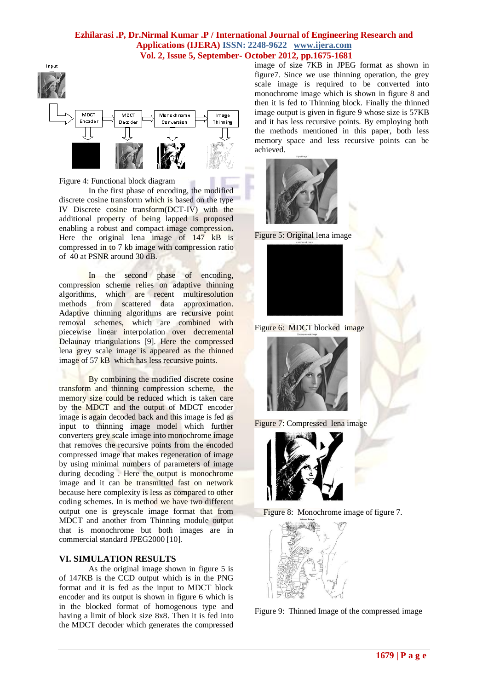

Figure 4: Functional block diagram

In the first phase of encoding, the modified discrete cosine transform which is based on the type IV Discrete cosine transform(DCT-IV) with the additional property of being lapped is proposed enabling a robust and compact image compression**.** Here the original lena image of 147 kB is compressed in to 7 kb image with compression ratio of 40 at PSNR around 30 dB.

In the second phase of encoding, compression scheme relies on adaptive thinning algorithms, which are recent multiresolution methods from scattered data approximation. Adaptive thinning algorithms are recursive point removal schemes, which are combined with piecewise linear interpolation over decremental Delaunay triangulations [9]. Here the compressed lena grey scale image is appeared as the thinned image of 57 kB which has less recursive points.

By combining the modified discrete cosine transform and thinning compression scheme, the memory size could be reduced which is taken care by the MDCT and the output of MDCT encoder image is again decoded back and this image is fed as input to thinning image model which further converters grey scale image into monochrome image that removes the recursive points from the encoded compressed image that makes regeneration of image by using minimal numbers of parameters of image during decoding . Here the output is monochrome image and it can be transmitted fast on network because here complexity is less as compared to other coding schemes. In is method we have two different output one is greyscale image format that from MDCT and another from Thinning module output that is monochrome but both images are in commercial standard JPEG2000 [10].

# **VI. SIMULATION RESULTS**

As the original image shown in figure 5 is of 147KB is the CCD output which is in the PNG format and it is fed as the input to MDCT block encoder and its output is shown in figure 6 which is in the blocked format of homogenous type and having a limit of block size 8x8. Then it is fed into the MDCT decoder which generates the compressed image of size 7KB in JPEG format as shown in figure7. Since we use thinning operation, the grey scale image is required to be converted into monochrome image which is shown in figure 8 and then it is fed to Thinning block. Finally the thinned image output is given in figure 9 whose size is 57KB and it has less recursive points. By employing both the methods mentioned in this paper, both less memory space and less recursive points can be achieved.



Figure 5: Original lena image



Figure 6: MDCT blocked image











Figure 9: Thinned Image of the compressed image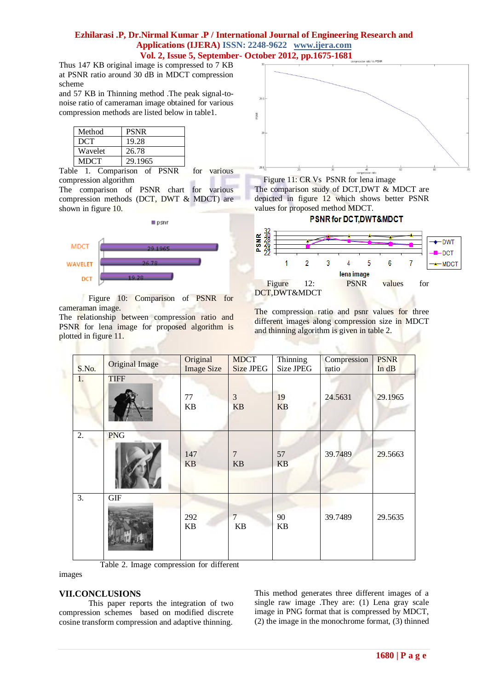Thus 147 KB original image is compressed to 7 KB at PSNR ratio around 30 dB in MDCT compression scheme

and 57 KB in Thinning method .The peak signal-tonoise ratio of cameraman image obtained for various compression methods are listed below in table1.

| Method  | <b>PSNR</b> |
|---------|-------------|
| DCT     | 19.28       |
| Wavelet | 26.78       |
| MDCT    | 29.1965     |

Table 1. Comparison of PSNR for various compression algorithm

The comparison of PSNR chart for various compression methods (DCT, DWT & MDCT) are shown in figure 10.



Figure 10: Comparison of PSNR for cameraman image.

The relationship between compression ratio and PSNR for lena image for proposed algorithm is plotted in figure 11.



Figure 11: CR Vs PSNR for lena image The comparison study of DCT,DWT & MDCT are depicted in figure 12 which shows better PSNR values for proposed method MDCT.



The compression ratio and psnr values for three different images along compression size in MDCT and thinning algorithm is given in table 2.

| S.No. | <b>Original Image</b> | Original<br><b>Image Size</b> | <b>MDCT</b><br><b>Size JPEG</b> | Thinning<br>Size JPEG | Compression<br>ratio | <b>PSNR</b><br>In dB |
|-------|-----------------------|-------------------------------|---------------------------------|-----------------------|----------------------|----------------------|
| 1.    | <b>TIFF</b>           | 77<br>KB                      | 3<br><b>KB</b>                  | 19<br><b>KB</b>       | 24.5631              | 29.1965              |
| 2.    | <b>PNG</b>            | 147<br>KB                     | $\overline{7}$<br><b>KB</b>     | 57<br><b>KB</b>       | 39.7489              | 29.5663              |
| 3.    | <b>GIF</b>            | 292<br><b>KB</b>              | $\overline{7}$<br><b>KB</b>     | 90<br><b>KB</b>       | 39.7489              | 29.5635              |

Table 2. Image compression for different

#### images

#### **VII.CONCLUSIONS**

This paper reports the integration of two compression schemes based on modified discrete cosine transform compression and adaptive thinning.

This method generates three different images of a single raw image .They are: (1) Lena gray scale image in PNG format that is compressed by MDCT, (2) the image in the monochrome format, (3) thinned